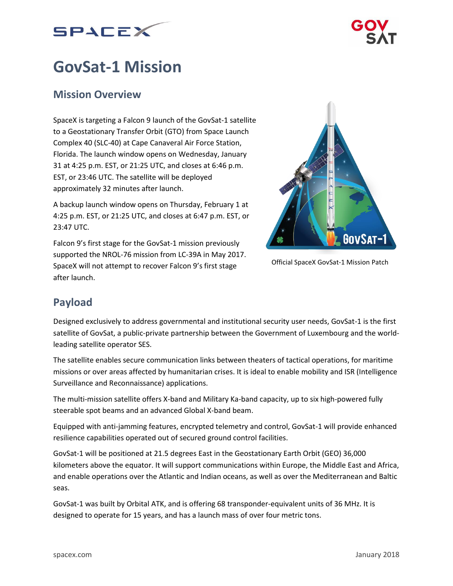



# **GovSat-1 Mission**

## **Mission Overview**

SpaceX is targeting a Falcon 9 launch of the GovSat-1 satellite to a Geostationary Transfer Orbit (GTO) from Space Launch Complex 40 (SLC-40) at Cape Canaveral Air Force Station, Florida. The launch window opens on Wednesday, January 31 at 4:25 p.m. EST, or 21:25 UTC, and closes at 6:46 p.m. EST, or 23:46 UTC. The satellite will be deployed approximately 32 minutes after launch.

A backup launch window opens on Thursday, February 1 at 4:25 p.m. EST, or 21:25 UTC, and closes at 6:47 p.m. EST, or 23:47 UTC.

Falcon 9's first stage for the GovSat-1 mission previously supported the NROL-76 mission from LC-39A in May 2017. SpaceX will not attempt to recover Falcon 9's first stage after launch.



Official SpaceX GovSat-1 Mission Patch

# **Payload**

Designed exclusively to address governmental and institutional security user needs, GovSat-1 is the first satellite of GovSat, a public-private partnership between the Government of Luxembourg and the worldleading satellite operator SES.

The satellite enables secure communication links between theaters of tactical operations, for maritime missions or over areas affected by humanitarian crises. It is ideal to enable mobility and ISR (Intelligence Surveillance and Reconnaissance) applications.

The multi-mission satellite offers X-band and Military Ka-band capacity, up to six high-powered fully steerable spot beams and an advanced Global X-band beam.

Equipped with anti-jamming features, encrypted telemetry and control, GovSat-1 will provide enhanced resilience capabilities operated out of secured ground control facilities.

GovSat-1 will be positioned at 21.5 degrees East in the Geostationary Earth Orbit (GEO) 36,000 kilometers above the equator. It will support communications within Europe, the Middle East and Africa, and enable operations over the Atlantic and Indian oceans, as well as over the Mediterranean and Baltic seas.

GovSat-1 was built by Orbital ATK, and is offering 68 transponder-equivalent units of 36 MHz. It is designed to operate for 15 years, and has a launch mass of over four metric tons.